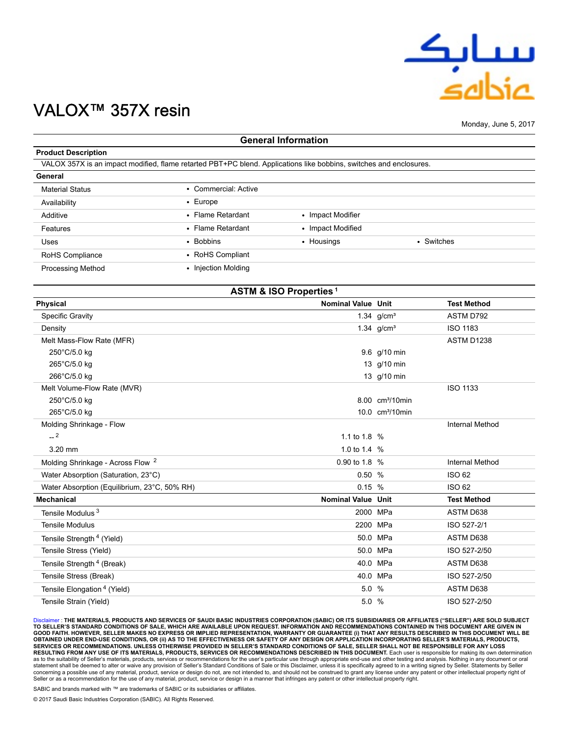

# VALOX™ 357X resin

Monday, June 5, 2017

#### **Product Description**

VALOX 357X is an impact modified, flame retarted PBT+PC blend. Applications like bobbins, switches and enclosures.

| General                  |                      |                   |                       |
|--------------------------|----------------------|-------------------|-----------------------|
| <b>Material Status</b>   | • Commercial: Active |                   |                       |
| Availability             | $\cdot$ Europe       |                   |                       |
| Additive                 | • Flame Retardant    | • Impact Modifier |                       |
| Features                 | • Flame Retardant    | • Impact Modified |                       |
| <b>Uses</b>              | • Bobbins            | • Housings        | Switches<br>$\bullet$ |
| RoHS Compliance          | • RoHS Compliant     |                   |                       |
| <b>Processing Method</b> | • Injection Molding  |                   |                       |

**General Information**

| <b>ASTM &amp; ISO Properties<sup>1</sup></b> |                           |                             |                    |
|----------------------------------------------|---------------------------|-----------------------------|--------------------|
| <b>Physical</b>                              | <b>Nominal Value Unit</b> |                             | <b>Test Method</b> |
| Specific Gravity                             |                           | 1.34 $q/cm^{3}$             | ASTM D792          |
| Density                                      |                           | 1.34 $g/cm^{3}$             | <b>ISO 1183</b>    |
| Melt Mass-Flow Rate (MFR)                    |                           |                             | ASTM D1238         |
| 250°C/5.0 kg                                 |                           | 9.6 g/10 min                |                    |
| 265°C/5.0 kg                                 |                           | 13 g/10 min                 |                    |
| 266°C/5.0 kg                                 |                           | 13 g/10 min                 |                    |
| Melt Volume-Flow Rate (MVR)                  |                           |                             | <b>ISO 1133</b>    |
| 250°C/5.0 kg                                 |                           | 8.00 cm <sup>3</sup> /10min |                    |
| 265°C/5.0 kg                                 |                           | 10.0 cm <sup>3</sup> /10min |                    |
| Molding Shrinkage - Flow                     |                           |                             | Internal Method    |
| $-2$                                         | 1.1 to 1.8 %              |                             |                    |
| 3.20 mm                                      | 1.0 to 1.4 %              |                             |                    |
| Molding Shrinkage - Across Flow <sup>2</sup> | 0.90 to 1.8 %             |                             | Internal Method    |
| Water Absorption (Saturation, 23°C)          | 0.50%                     |                             | <b>ISO 62</b>      |
| Water Absorption (Equilibrium, 23°C, 50% RH) | 0.15%                     |                             | <b>ISO 62</b>      |
| <b>Mechanical</b>                            | <b>Nominal Value Unit</b> |                             | <b>Test Method</b> |
| Tensile Modulus <sup>3</sup>                 |                           | 2000 MPa                    | ASTM D638          |
| <b>Tensile Modulus</b>                       |                           | 2200 MPa                    | ISO 527-2/1        |
| Tensile Strength <sup>4</sup> (Yield)        |                           | 50.0 MPa                    | ASTM D638          |
| Tensile Stress (Yield)                       |                           | 50.0 MPa                    | ISO 527-2/50       |
| Tensile Strength <sup>4</sup> (Break)        |                           | 40.0 MPa                    | ASTM D638          |
| Tensile Stress (Break)                       |                           | 40.0 MPa                    | ISO 527-2/50       |
| Tensile Elongation <sup>4</sup> (Yield)      | 5.0%                      |                             | ASTM D638          |
| Tensile Strain (Yield)                       | 5.0%                      |                             | ISO 527-2/50       |

<u>Disclaimer :</u> THE MATERIALS, PRODUCTS AND SERVICES OF SAUDI BASIC INDUSTRIES CORPORATION (SABIC) OR ITS SUBSIDIARIES OR AFFILIATES ("SELLER") ARE SOLD SUBJECT<br>TO SELLER'S STANDARD CONDITIONS OF SALE, WHICH ARE AVAILABLE **GOOD FAITH. HOWEVER, SELLER MAKES NO EXPRESS OR IMPLIED REPRESENTATION, WARRANTY OR GUARANTEE (i) THAT ANY RESULTS DESCRIBED IN THIS DOCUMENT WILL BE** OBTAINED UNDER END-USE CONDITIONS, OR (ii) AS TO THE EFFECTIVENESS OR SAFETY OF ANY DESIGN OR APPLICATION INCORPORATING SELLER'S MATERIALS, PRODUCTS,<br>SERVICES OR RECOMMENDATIONS. UNLESS OTHERWISE PROVIDED IN SELLER'S STAND RESULTING FROM ANY USE OF ITS MATERIALS, PRODUCTS, SERVICES OR RECOMMENDATIONS DESCRIBED IN THIS DOCUMENT. Each user is responsible for making its own determination as to the suitability of Seller's materials, products, services or recommendations for the user's particular use through appropriate end-use and other testing and analysis. Nothing in any document or oral<br>statement shall b Seller or as a recommendation for the use of any material, product, service or design in a manner that infringes any patent or other intellectual property right.

SABIC and brands marked with ™ are trademarks of SABIC or its subsidiaries or affiliates.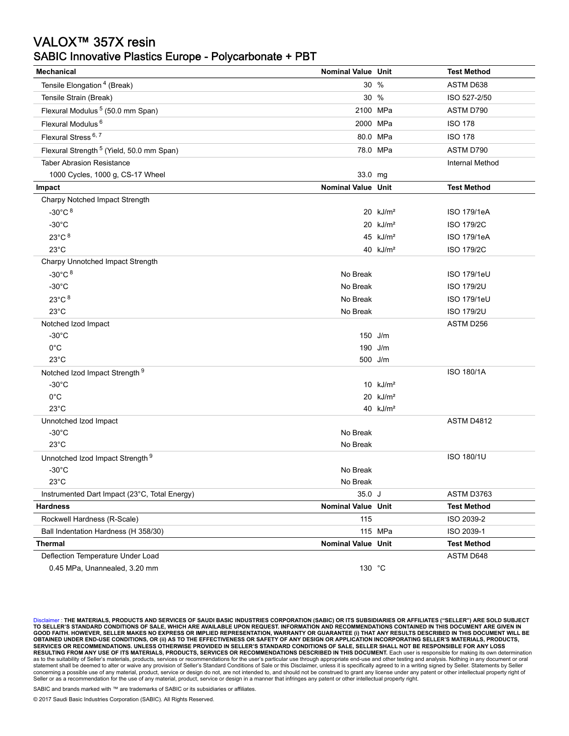## VALOX™ 357X resin SABIC Innovative Plastics Europe - Polycarbonate + PBT

| Mechanical                                           | <b>Nominal Value Unit</b> |                        | <b>Test Method</b> |
|------------------------------------------------------|---------------------------|------------------------|--------------------|
| Tensile Elongation <sup>4</sup> (Break)              | 30 %                      |                        | ASTM D638          |
| Tensile Strain (Break)                               | 30 %                      |                        | ISO 527-2/50       |
| Flexural Modulus <sup>5</sup> (50.0 mm Span)         | 2100 MPa                  |                        | ASTM D790          |
| Flexural Modulus <sup>6</sup>                        | 2000 MPa                  |                        | <b>ISO 178</b>     |
| Flexural Stress 6, 7                                 |                           | 80.0 MPa               | <b>ISO 178</b>     |
| Flexural Strength <sup>5</sup> (Yield, 50.0 mm Span) |                           | 78.0 MPa               | ASTM D790          |
| <b>Taber Abrasion Resistance</b>                     |                           |                        | Internal Method    |
| 1000 Cycles, 1000 g, CS-17 Wheel                     | 33.0 mg                   |                        |                    |
| Impact                                               | <b>Nominal Value Unit</b> |                        | <b>Test Method</b> |
| Charpy Notched Impact Strength                       |                           |                        |                    |
| $-30^{\circ}$ C $8$                                  |                           | $20$ kJ/m <sup>2</sup> | ISO 179/1eA        |
| $-30^{\circ}$ C                                      |                           | $20$ kJ/m <sup>2</sup> | <b>ISO 179/2C</b>  |
| 23°C 8                                               |                           | 45 $kJ/m2$             | ISO 179/1eA        |
| $23^{\circ}$ C                                       |                           | 40 $kJ/m2$             | <b>ISO 179/2C</b>  |
| Charpy Unnotched Impact Strength                     |                           |                        |                    |
| $-30^{\circ}$ C $8$                                  | No Break                  |                        | <b>ISO 179/1eU</b> |
| $-30^{\circ}$ C                                      | No Break                  |                        | <b>ISO 179/2U</b>  |
| 23°C 8                                               | No Break                  |                        | ISO 179/1eU        |
| $23^{\circ}$ C                                       | No Break                  |                        | <b>ISO 179/2U</b>  |
| Notched Izod Impact                                  |                           |                        | ASTM D256          |
| $-30^{\circ}$ C                                      |                           | 150 J/m                |                    |
| $0^{\circ}$ C                                        |                           | 190 J/m                |                    |
| $23^{\circ}$ C                                       |                           | 500 J/m                |                    |
| Notched Izod Impact Strength 9                       |                           |                        | <b>ISO 180/1A</b>  |
| $-30^{\circ}$ C                                      |                           | $10$ kJ/m <sup>2</sup> |                    |
| $0^{\circ}$ C                                        |                           | $20$ kJ/m <sup>2</sup> |                    |
| $23^{\circ}$ C                                       |                           | 40 kJ/m <sup>2</sup>   |                    |
| Unnotched Izod Impact                                |                           |                        | ASTM D4812         |
| $-30^{\circ}$ C                                      | No Break                  |                        |                    |
| $23^{\circ}$ C                                       | No Break                  |                        |                    |
| Unnotched Izod Impact Strength 9                     |                           |                        | <b>ISO 180/1U</b>  |
| $-30^{\circ}$ C                                      | No Break                  |                        |                    |
| 23°C                                                 | No Break                  |                        |                    |
| Instrumented Dart Impact (23°C, Total Energy)        | 35.0J                     |                        | ASTM D3763         |
| <b>Hardness</b>                                      | <b>Nominal Value Unit</b> |                        | <b>Test Method</b> |
| Rockwell Hardness (R-Scale)                          | 115                       |                        | ISO 2039-2         |
| Ball Indentation Hardness (H 358/30)                 |                           | 115 MPa                | ISO 2039-1         |
| <b>Thermal</b>                                       | <b>Nominal Value Unit</b> |                        | <b>Test Method</b> |
| Deflection Temperature Under Load                    |                           |                        | ASTM D648          |
| 0.45 MPa, Unannealed, 3.20 mm                        | 130 °C                    |                        |                    |

<u>Disclaimer :</u> THE MATERIALS, PRODUCTS AND SERVICES OF SAUDI BASIC INDUSTRIES CORPORATION (SABIC) OR ITS SUBSIDIARIES OR AFFILIATES ("SELLER") ARE SOLD SUBJECT<br>TO SELLER'S STANDARD CONDITIONS OF SALE, WHICH ARE AVAILABLE OBTAINED UNDER END-USE CONDITIONS, OR (ii) AS TO THE EFFECTIVENESS OR SAFETY OF ANY DESIGN OR APPLICATION INCORPORATING SELLER'S MATERIALS, PRODUCTS,<br>SERVICES OR RECOMMENDATIONS. UNLESS OTHERWISE PROVIDED IN SELLER'S STAND RESULTING FROM ANY USE OF ITS MATERIALS, PRODUCTS, SERVICES OR RECOMMENDATIONS DESCRIBED IN THIS DOCUMENT. Each user is responsible for making its own determination as to the suitability of Seller's materials, products, services or recommendations for the user's particular use through appropriate end-use and other testing and analysis. Nothing in any document or oral<br>statement shall b Seller or as a recommendation for the use of any material, product, service or design in a manner that infringes any patent or other intellectual property right.

SABIC and brands marked with ™ are trademarks of SABIC or its subsidiaries or affiliates.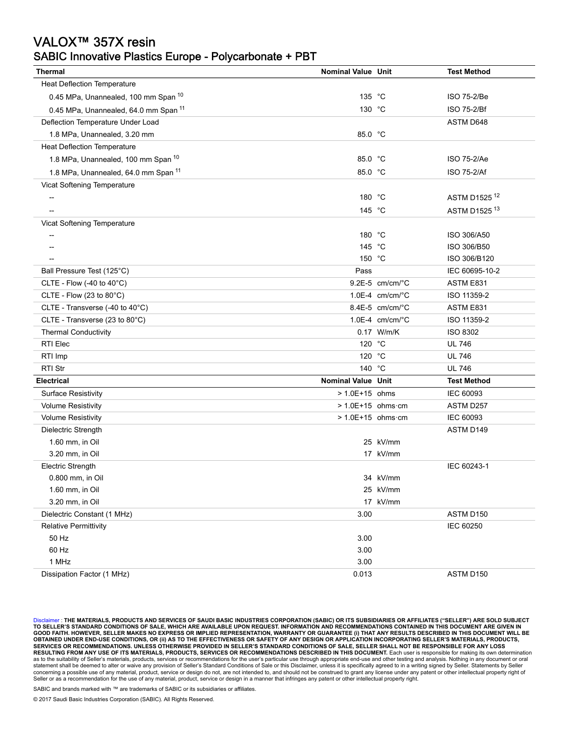### VALOX™ 357X resin SABIC Innovative Plastics Europe - Polycarbonate + PBT

| <b>Thermal</b>                        | <b>Nominal Value Unit</b> |                      | <b>Test Method</b>       |
|---------------------------------------|---------------------------|----------------------|--------------------------|
| <b>Heat Deflection Temperature</b>    |                           |                      |                          |
| 0.45 MPa, Unannealed, 100 mm Span 10  | 135 °C                    |                      | ISO 75-2/Be              |
| 0.45 MPa, Unannealed, 64.0 mm Span 11 | 130 °C                    |                      | <b>ISO 75-2/Bf</b>       |
| Deflection Temperature Under Load     |                           |                      | ASTM D648                |
| 1.8 MPa, Unannealed, 3.20 mm          | 85.0 °C                   |                      |                          |
| <b>Heat Deflection Temperature</b>    |                           |                      |                          |
| 1.8 MPa, Unannealed, 100 mm Span 10   | 85.0 °C                   |                      | ISO 75-2/Ae              |
| 1.8 MPa, Unannealed, 64.0 mm Span 11  | 85.0 °C                   |                      | <b>ISO 75-2/Af</b>       |
| Vicat Softening Temperature           |                           |                      |                          |
| $\overline{\phantom{a}}$              | 180 °C                    |                      | ASTM D1525 <sup>12</sup> |
|                                       | 145 °C                    |                      | ASTM D1525 <sup>13</sup> |
| Vicat Softening Temperature           |                           |                      |                          |
|                                       | 180 °C                    |                      | ISO 306/A50              |
|                                       | 145 °C                    |                      | ISO 306/B50              |
|                                       | 150 °C                    |                      | ISO 306/B120             |
| Ball Pressure Test (125°C)            | Pass                      |                      | IEC 60695-10-2           |
| CLTE - Flow (-40 to $40^{\circ}$ C)   |                           | $9.2E-5$ cm/cm/ $°C$ | ASTM E831                |
| CLTE - Flow (23 to $80^{\circ}$ C)    |                           | $1.0E-4$ cm/cm/ $°C$ | ISO 11359-2              |
| CLTE - Transverse (-40 to 40°C)       |                           | 8.4E-5 cm/cm/°C      | ASTM E831                |
| CLTE - Transverse (23 to 80°C)        |                           | 1.0E-4 cm/cm/°C      | ISO 11359-2              |
| <b>Thermal Conductivity</b>           |                           | 0.17 W/m/K           | <b>ISO 8302</b>          |
| RTI Elec                              | 120 °C                    |                      | <b>UL 746</b>            |
| RTI Imp                               | 120 °C                    |                      | <b>UL 746</b>            |
| RTI Str                               | 140 °C                    |                      | <b>UL 746</b>            |
| Electrical                            | <b>Nominal Value Unit</b> |                      | <b>Test Method</b>       |
| <b>Surface Resistivity</b>            | $> 1.0E+15$ ohms          |                      | IEC 60093                |
| <b>Volume Resistivity</b>             | $> 1.0E+15$ ohms cm       |                      | ASTM D257                |
| <b>Volume Resistivity</b>             | $> 1.0E+15$ ohms cm       |                      | IEC 60093                |
| Dielectric Strength                   |                           |                      | ASTM D149                |
| 1.60 mm, in Oil                       |                           | 25 kV/mm             |                          |
| 3.20 mm, in Oil                       |                           | 17 kV/mm             |                          |
| <b>Electric Strength</b>              |                           |                      | IEC 60243-1              |
| 0.800 mm, in Oil                      |                           | 34 kV/mm             |                          |
| 1.60 mm, in Oil                       |                           | 25 kV/mm             |                          |
| 3.20 mm, in Oil                       |                           | 17 kV/mm             |                          |
| Dielectric Constant (1 MHz)           | 3.00                      |                      | ASTM D150                |
| <b>Relative Permittivity</b>          |                           |                      | <b>IEC 60250</b>         |
| 50 Hz                                 | 3.00                      |                      |                          |
| 60 Hz                                 | 3.00                      |                      |                          |
| 1 MHz                                 | 3.00                      |                      |                          |
| Dissipation Factor (1 MHz)            | 0.013                     |                      | ASTM D150                |

<u>Disclaimer :</u> THE MATERIALS, PRODUCTS AND SERVICES OF SAUDI BASIC INDUSTRIES CORPORATION (SABIC) OR ITS SUBSIDIARIES OR AFFILIATES ("SELLER") ARE SOLD SUBJECT<br>TO SELLER'S STANDARD CONDITIONS OF SALE, WHICH ARE AVAILABLE OBTAINED UNDER END-USE CONDITIONS, OR (ii) AS TO THE EFFECTIVENESS OR SAFETY OF ANY DESIGN OR APPLICATION INCORPORATING SELLER'S MATERIALS, PRODUCTS,<br>SERVICES OR RECOMMENDATIONS. UNLESS OTHERWISE PROVIDED IN SELLER'S STAND RESULTING FROM ANY USE OF ITS MATERIALS, PRODUCTS, SERVICES OR RECOMMENDATIONS DESCRIBED IN THIS DOCUMENT. Each user is responsible for making its own determination as to the suitability of Seller's materials, products, services or recommendations for the user's particular use through appropriate end-use and other testing and analysis. Nothing in any document or oral<br>statement shall b Seller or as a recommendation for the use of any material, product, service or design in a manner that infringes any patent or other intellectual property right.

SABIC and brands marked with ™ are trademarks of SABIC or its subsidiaries or affiliates.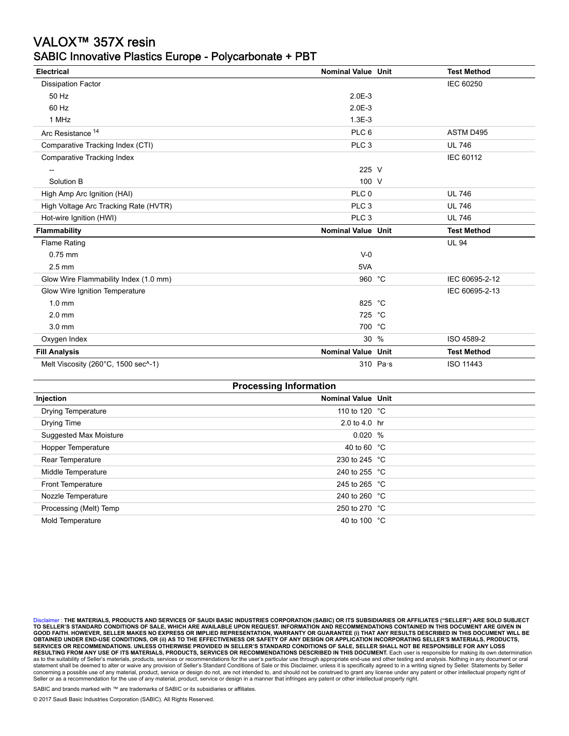### VALOX™ 357X resin SABIC Innovative Plastics Europe - Polycarbonate + PBT

| <b>Electrical</b>                     | <b>Nominal Value Unit</b> |          | <b>Test Method</b> |
|---------------------------------------|---------------------------|----------|--------------------|
| <b>Dissipation Factor</b>             |                           |          | <b>IEC 60250</b>   |
| 50 Hz                                 | $2.0E-3$                  |          |                    |
| 60 Hz                                 | $2.0E-3$                  |          |                    |
| 1 MHz                                 | $1.3E-3$                  |          |                    |
| Arc Resistance <sup>14</sup>          | PLC <sub>6</sub>          |          | ASTM D495          |
| Comparative Tracking Index (CTI)      | PLC <sub>3</sub>          |          | <b>UL 746</b>      |
| <b>Comparative Tracking Index</b>     |                           |          | <b>IEC 60112</b>   |
|                                       | 225 V                     |          |                    |
| Solution B                            | 100 V                     |          |                    |
| High Amp Arc Ignition (HAI)           | PLC 0                     |          | <b>UL 746</b>      |
| High Voltage Arc Tracking Rate (HVTR) | PLC <sub>3</sub>          |          | <b>UL 746</b>      |
| Hot-wire Ignition (HWI)               | PLC <sub>3</sub>          |          | <b>UL 746</b>      |
| Flammability                          | <b>Nominal Value Unit</b> |          | <b>Test Method</b> |
| <b>Flame Rating</b>                   |                           |          | <b>UL 94</b>       |
| $0.75$ mm                             | $V-0$                     |          |                    |
| $2.5$ mm                              | 5VA                       |          |                    |
| Glow Wire Flammability Index (1.0 mm) | 960 °C                    |          | IEC 60695-2-12     |
| Glow Wire Ignition Temperature        |                           |          | IEC 60695-2-13     |
| $1.0 \text{ mm}$                      | 825 °C                    |          |                    |
| $2.0$ mm                              | 725 °C                    |          |                    |
| $3.0$ mm                              | 700 °C                    |          |                    |
| Oxygen Index                          | 30 %                      |          | ISO 4589-2         |
| <b>Fill Analysis</b>                  | <b>Nominal Value Unit</b> |          | <b>Test Method</b> |
| Melt Viscosity (260°C, 1500 sec^-1)   |                           | 310 Pa·s | <b>ISO 11443</b>   |

| <b>Processing Information</b> |                           |  |
|-------------------------------|---------------------------|--|
| Injection                     | <b>Nominal Value Unit</b> |  |
| <b>Drying Temperature</b>     | 110 to 120 °C             |  |
| Drying Time                   | 2.0 to 4.0 hr             |  |
| Suggested Max Moisture        | 0.020%                    |  |
| Hopper Temperature            | 40 to 60 $\degree$ C      |  |
| Rear Temperature              | 230 to 245 $^{\circ}$ C   |  |
| Middle Temperature            | 240 to 255 °C             |  |
| Front Temperature             | 245 to 265 $^{\circ}$ C   |  |
| Nozzle Temperature            | 240 to 260 °C             |  |
| Processing (Melt) Temp        | 250 to 270 °C             |  |
| Mold Temperature              | 40 to 100 $^{\circ}$ C    |  |

<u>Disclaimer :</u> THE MATERIALS, PRODUCTS AND SERVICES OF SAUDI BASIC INDUSTRIES CORPORATION (SABIC) OR ITS SUBSIDIARIES OR AFFILIATES ("SELLER") ARE SOLD SUBJECT<br>TO SELLER'S STANDARD CONDITIONS OF SALE, WHICH ARE AVAILABLE OBTAINED UNDER END-USE CONDITIONS, OR (ii) AS TO THE EFFECTIVENESS OR SAFETY OF ANY DESIGN OR APPLICATION INCORPORATING SELLER'S MATERIALS, PRODUCTS,<br>SERVICES OR RECOMMENDATIONS. UNLESS OTHERWISE PROVIDED IN SELLER'S STAND RESULTING FROM ANY USE OF ITS MATERIALS, PRODUCTS, SERVICES OR RECOMMENDATIONS DESCRIBED IN THIS DOCUMENT. Each user is responsible for making its own determination as to the suitability of Seller's materials, products, services or recommendations for the user's particular use through appropriate end-use and other testing and analysis. Nothing in any document or oral<br>statement shall b Seller or as a recommendation for the use of any material, product, service or design in a manner that infringes any patent or other intellectual property right.

SABIC and brands marked with ™ are trademarks of SABIC or its subsidiaries or affiliates.